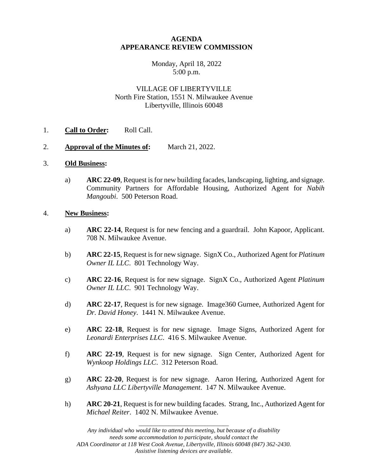### **AGENDA APPEARANCE REVIEW COMMISSION**

### Monday, April 18, 2022 5:00 p.m.

# VILLAGE OF LIBERTYVILLE North Fire Station, 1551 N. Milwaukee Avenue Libertyville, Illinois 60048

### 1. **Call to Order:** Roll Call.

2. **Approval of the Minutes of:** March 21, 2022.

### 3. **Old Business:**

a) **ARC 22-09**, Request is for new building facades, landscaping, lighting, and signage. Community Partners for Affordable Housing, Authorized Agent for *Nabih Mangoubi*. 500 Peterson Road.

#### 4. **New Business:**

- a) **ARC 22-14**, Request is for new fencing and a guardrail. John Kapoor, Applicant. 708 N. Milwaukee Avenue.
- b) **ARC 22-15**, Request is for new signage. SignX Co., Authorized Agent for *Platinum Owner IL LLC*. 801 Technology Way.
- c) **ARC 22-16**, Request is for new signage. SignX Co., Authorized Agent *Platinum Owner IL LLC*. 901 Technology Way.
- d) **ARC 22-17**, Request is for new signage. Image360 Gurnee, Authorized Agent for *Dr. David Honey*. 1441 N. Milwaukee Avenue.
- e) **ARC 22-18**, Request is for new signage. Image Signs, Authorized Agent for *Leonardi Enterprises LLC*. 416 S. Milwaukee Avenue.
- f) **ARC 22-19**, Request is for new signage. Sign Center, Authorized Agent for *Wynkoop Holdings LLC*. 312 Peterson Road.
- g) **ARC 22-20**, Request is for new signage. Aaron Hering, Authorized Agent for *Ashyana LLC Libertyville Management*. 147 N. Milwaukee Avenue.
- h) **ARC 20-21**, Request is for new building facades. Strang, Inc., Authorized Agent for *Michael Reiter*. 1402 N. Milwaukee Avenue.

\_\_\_\_\_\_\_\_\_\_\_\_\_\_\_\_\_\_\_\_\_\_\_\_\_\_\_\_\_\_